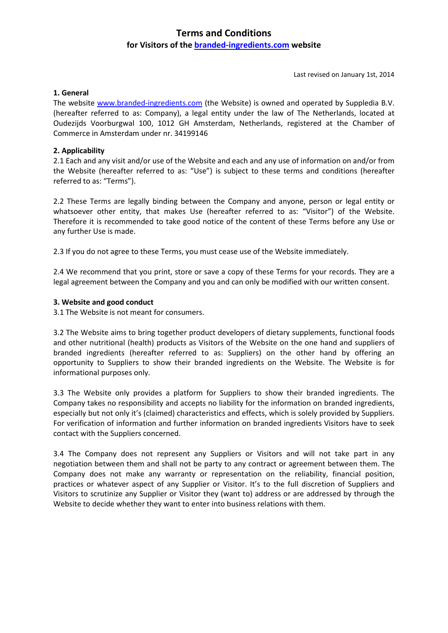# **Terms and Conditions**

# **for Visitors of the branded-ingredients.com website**

Last revised on January 1st, 2014

### **1. General**

The website www.branded-ingredients.com (the Website) is owned and operated by Suppledia B.V. (hereafter referred to as: Company), a legal entity under the law of The Netherlands, located at Oudezijds Voorburgwal 100, 1012 GH Amsterdam, Netherlands, registered at the Chamber of Commerce in Amsterdam under nr. 34199146

## **2. Applicability**

2.1 Each and any visit and/or use of the Website and each and any use of information on and/or from the Website (hereafter referred to as: "Use") is subject to these terms and conditions (hereafter referred to as: "Terms").

2.2 These Terms are legally binding between the Company and anyone, person or legal entity or whatsoever other entity, that makes Use (hereafter referred to as: "Visitor") of the Website. Therefore it is recommended to take good notice of the content of these Terms before any Use or any further Use is made.

2.3 If you do not agree to these Terms, you must cease use of the Website immediately.

2.4 We recommend that you print, store or save a copy of these Terms for your records. They are a legal agreement between the Company and you and can only be modified with our written consent.

## **3. Website and good conduct**

3.1 The Website is not meant for consumers.

3.2 The Website aims to bring together product developers of dietary supplements, functional foods and other nutritional (health) products as Visitors of the Website on the one hand and suppliers of branded ingredients (hereafter referred to as: Suppliers) on the other hand by offering an opportunity to Suppliers to show their branded ingredients on the Website. The Website is for informational purposes only.

3.3 The Website only provides a platform for Suppliers to show their branded ingredients. The Company takes no responsibility and accepts no liability for the information on branded ingredients, especially but not only it's (claimed) characteristics and effects, which is solely provided by Suppliers. For verification of information and further information on branded ingredients Visitors have to seek contact with the Suppliers concerned.

3.4 The Company does not represent any Suppliers or Visitors and will not take part in any negotiation between them and shall not be party to any contract or agreement between them. The Company does not make any warranty or representation on the reliability, financial position, practices or whatever aspect of any Supplier or Visitor. It's to the full discretion of Suppliers and Visitors to scrutinize any Supplier or Visitor they (want to) address or are addressed by through the Website to decide whether they want to enter into business relations with them.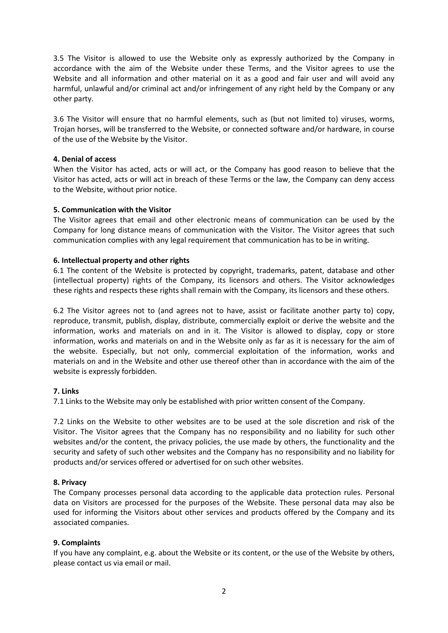3.5 The Visitor is allowed to use the Website only as expressly authorized by the Company in accordance with the aim of the Website under these Terms, and the Visitor agrees to use the Website and all information and other material on it as a good and fair user and will avoid any harmful, unlawful and/or criminal act and/or infringement of any right held by the Company or any other party.

3.6 The Visitor will ensure that no harmful elements, such as (but not limited to) viruses, worms, Trojan horses, will be transferred to the Website, or connected software and/or hardware, in course of the use of the Website by the Visitor.

#### **4. Denial of access**

When the Visitor has acted, acts or will act, or the Company has good reason to believe that the Visitor has acted, acts or will act in breach of these Terms or the law, the Company can deny access to the Website, without prior notice.

## **5. Communication with the Visitor**

The Visitor agrees that email and other electronic means of communication can be used by the Company for long distance means of communication with the Visitor. The Visitor agrees that such communication complies with any legal requirement that communication has to be in writing.

## **6. Intellectual property and other rights**

6.1 The content of the Website is protected by copyright, trademarks, patent, database and other (intellectual property) rights of the Company, its licensors and others. The Visitor acknowledges these rights and respects these rights shall remain with the Company, its licensors and these others.

6.2 The Visitor agrees not to (and agrees not to have, assist or facilitate another party to) copy, reproduce, transmit, publish, display, distribute, commercially exploit or derive the website and the information, works and materials on and in it. The Visitor is allowed to display, copy or store information, works and materials on and in the Website only as far as it is necessary for the aim of the website. Especially, but not only, commercial exploitation of the information, works and materials on and in the Website and other use thereof other than in accordance with the aim of the website is expressly forbidden.

# **7. Links**

7.1 Links to the Website may only be established with prior written consent of the Company.

7.2 Links on the Website to other websites are to be used at the sole discretion and risk of the Visitor. The Visitor agrees that the Company has no responsibility and no liability for such other websites and/or the content, the privacy policies, the use made by others, the functionality and the security and safety of such other websites and the Company has no responsibility and no liability for products and/or services offered or advertised for on such other websites.

#### **8. Privacy**

The Company processes personal data according to the applicable data protection rules. Personal data on Visitors are processed for the purposes of the Website. These personal data may also be used for informing the Visitors about other services and products offered by the Company and its associated companies.

# **9. Complaints**

If you have any complaint, e.g. about the Website or its content, or the use of the Website by others, please contact us via email or mail.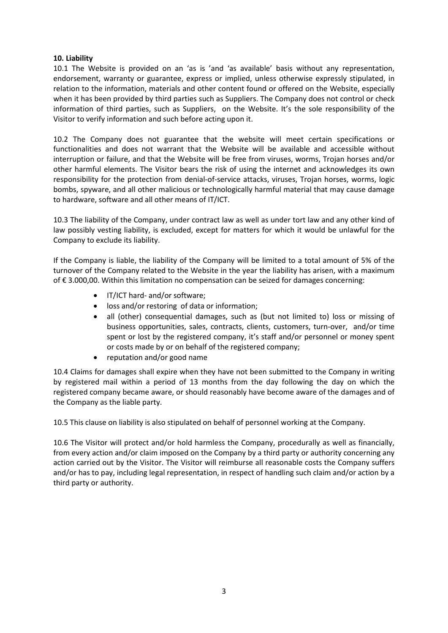## **10. Liability**

10.1 The Website is provided on an 'as is 'and 'as available' basis without any representation, endorsement, warranty or guarantee, express or implied, unless otherwise expressly stipulated, in relation to the information, materials and other content found or offered on the Website, especially when it has been provided by third parties such as Suppliers. The Company does not control or check information of third parties, such as Suppliers, on the Website. It's the sole responsibility of the Visitor to verify information and such before acting upon it.

10.2 The Company does not guarantee that the website will meet certain specifications or functionalities and does not warrant that the Website will be available and accessible without interruption or failure, and that the Website will be free from viruses, worms, Trojan horses and/or other harmful elements. The Visitor bears the risk of using the internet and acknowledges its own responsibility for the protection from denial-of-service attacks, viruses, Trojan horses, worms, logic bombs, spyware, and all other malicious or technologically harmful material that may cause damage to hardware, software and all other means of IT/ICT.

10.3 The liability of the Company, under contract law as well as under tort law and any other kind of law possibly vesting liability, is excluded, except for matters for which it would be unlawful for the Company to exclude its liability.

If the Company is liable, the liability of the Company will be limited to a total amount of 5% of the turnover of the Company related to the Website in the year the liability has arisen, with a maximum of € 3.000,00. Within this limitation no compensation can be seized for damages concerning:

- IT/ICT hard- and/or software;
- loss and/or restoring of data or information;
- all (other) consequential damages, such as (but not limited to) loss or missing of business opportunities, sales, contracts, clients, customers, turn-over, and/or time spent or lost by the registered company, it's staff and/or personnel or money spent or costs made by or on behalf of the registered company;
- reputation and/or good name

10.4 Claims for damages shall expire when they have not been submitted to the Company in writing by registered mail within a period of 13 months from the day following the day on which the registered company became aware, or should reasonably have become aware of the damages and of the Company as the liable party.

10.5 This clause on liability is also stipulated on behalf of personnel working at the Company.

10.6 The Visitor will protect and/or hold harmless the Company, procedurally as well as financially, from every action and/or claim imposed on the Company by a third party or authority concerning any action carried out by the Visitor. The Visitor will reimburse all reasonable costs the Company suffers and/or has to pay, including legal representation, in respect of handling such claim and/or action by a third party or authority.